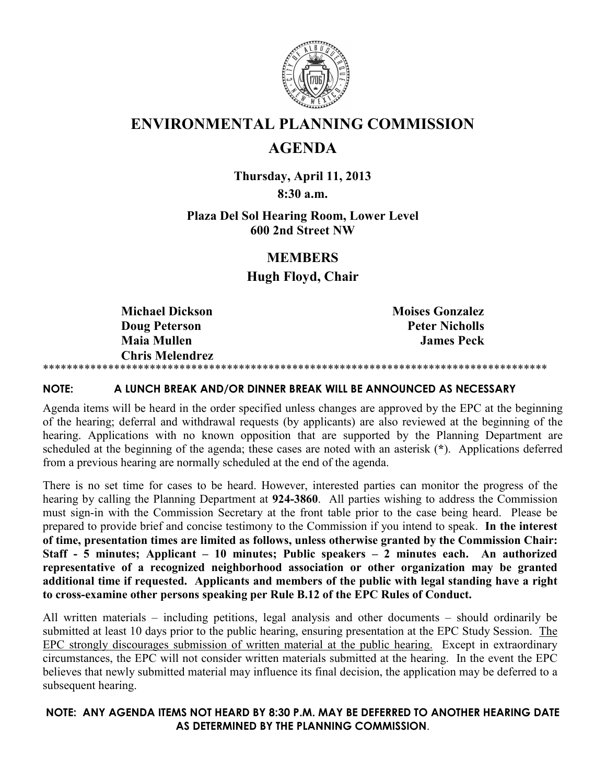

# **ENVIRONMENTAL PLANNING COMMISSION**

# **AGENDA**

**Thursday, April 11, 2013 8:30 a.m.** 

## **Plaza Del Sol Hearing Room, Lower Level 600 2nd Street NW**

## **MEMBERS**

**Hugh Floyd, Chair**

**Michael Dickson** Moises Gonzalez **Doug Peterson Peter Nicholls Maia Mullen James Peck Chris Melendrez**  \*\*\*\*\*\*\*\*\*\*\*\*\*\*\*\*\*\*\*\*\*\*\*\*\*\*\*\*\*\*\*\*\*\*\*\*\*\*\*\*\*\*\*\*\*\*\*\*\*\*\*\*\*\*\*\*\*\*\*\*\*\*\*\*\*\*\*\*\*\*\*\*\*\*\*\*\*\*\*\*\*\*\*\*\*

## **NOTE: A LUNCH BREAK AND/OR DINNER BREAK WILL BE ANNOUNCED AS NECESSARY**

Agenda items will be heard in the order specified unless changes are approved by the EPC at the beginning of the hearing; deferral and withdrawal requests (by applicants) are also reviewed at the beginning of the hearing. Applications with no known opposition that are supported by the Planning Department are scheduled at the beginning of the agenda; these cases are noted with an asterisk (**\***). Applications deferred from a previous hearing are normally scheduled at the end of the agenda.

There is no set time for cases to be heard. However, interested parties can monitor the progress of the hearing by calling the Planning Department at **924-3860**. All parties wishing to address the Commission must sign-in with the Commission Secretary at the front table prior to the case being heard. Please be prepared to provide brief and concise testimony to the Commission if you intend to speak. **In the interest of time, presentation times are limited as follows, unless otherwise granted by the Commission Chair: Staff - 5 minutes; Applicant – 10 minutes; Public speakers – 2 minutes each. An authorized representative of a recognized neighborhood association or other organization may be granted additional time if requested. Applicants and members of the public with legal standing have a right to cross-examine other persons speaking per Rule B.12 of the EPC Rules of Conduct.**

All written materials – including petitions, legal analysis and other documents – should ordinarily be submitted at least 10 days prior to the public hearing, ensuring presentation at the EPC Study Session. The EPC strongly discourages submission of written material at the public hearing. Except in extraordinary circumstances, the EPC will not consider written materials submitted at the hearing. In the event the EPC believes that newly submitted material may influence its final decision, the application may be deferred to a subsequent hearing.

## **NOTE: ANY AGENDA ITEMS NOT HEARD BY 8:30 P.M. MAY BE DEFERRED TO ANOTHER HEARING DATE AS DETERMINED BY THE PLANNING COMMISSION**.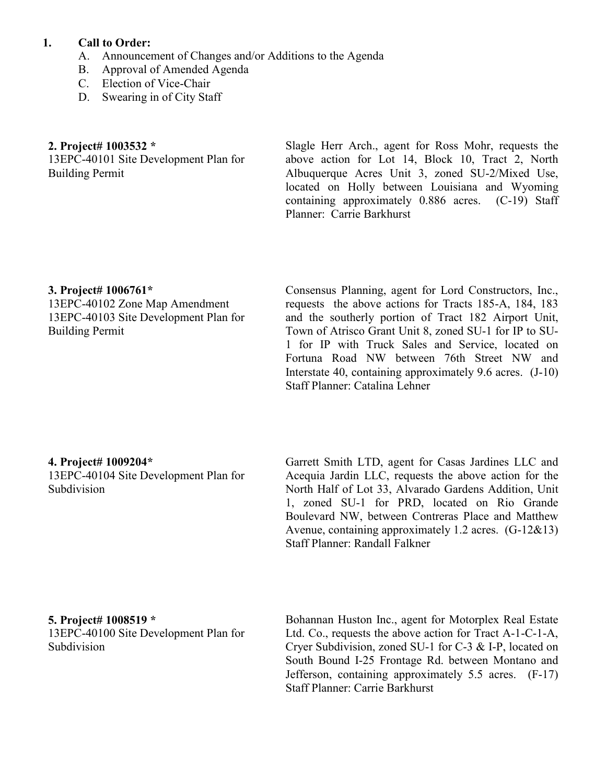## **1. Call to Order:**

- A. Announcement of Changes and/or Additions to the Agenda
- B. Approval of Amended Agenda
- C. Election of Vice-Chair
- D. Swearing in of City Staff

## **2. Project# 1003532 \***

13EPC-40101 Site Development Plan for Building Permit

Slagle Herr Arch., agent for Ross Mohr, requests the above action for Lot 14, Block 10, Tract 2, North Albuquerque Acres Unit 3, zoned SU-2/Mixed Use, located on Holly between Louisiana and Wyoming containing approximately 0.886 acres. (C-19) Staff Planner: Carrie Barkhurst

## **3. Project# 1006761\***

13EPC-40102 Zone Map Amendment 13EPC-40103 Site Development Plan for Building Permit

Consensus Planning, agent for Lord Constructors, Inc., requests the above actions for Tracts 185-A, 184, 183 and the southerly portion of Tract 182 Airport Unit, Town of Atrisco Grant Unit 8, zoned SU-1 for IP to SU-1 for IP with Truck Sales and Service, located on Fortuna Road NW between 76th Street NW and Interstate 40, containing approximately 9.6 acres. (J-10) Staff Planner: Catalina Lehner

## **4. Project# 1009204\***

13EPC-40104 Site Development Plan for Subdivision

Garrett Smith LTD, agent for Casas Jardines LLC and Acequia Jardin LLC, requests the above action for the North Half of Lot 33, Alvarado Gardens Addition, Unit 1, zoned SU-1 for PRD, located on Rio Grande Boulevard NW, between Contreras Place and Matthew Avenue, containing approximately 1.2 acres. (G-12&13) Staff Planner: Randall Falkner

### **5. Project# 1008519 \***

13EPC-40100 Site Development Plan for Subdivision

Bohannan Huston Inc., agent for Motorplex Real Estate Ltd. Co., requests the above action for Tract A-1-C-1-A, Cryer Subdivision, zoned SU-1 for C-3 & I-P, located on South Bound I-25 Frontage Rd. between Montano and Jefferson, containing approximately 5.5 acres. (F-17) Staff Planner: Carrie Barkhurst